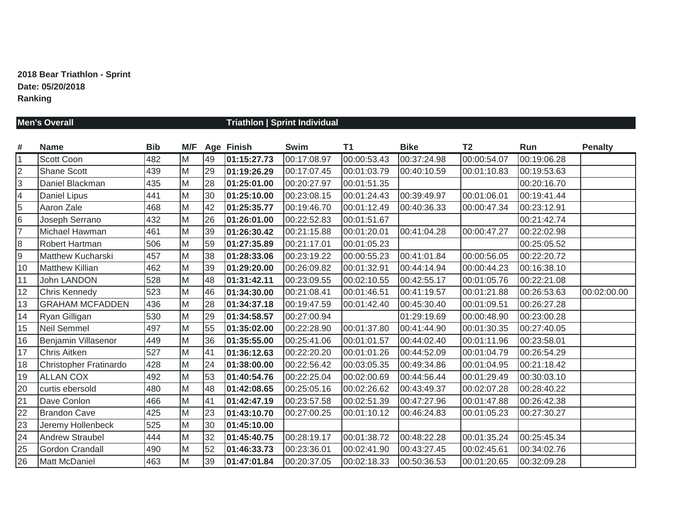# **2018 Bear Triathlon - Sprint Date: 05/20/2018 Ranking**

|                | <b>Men's Overall</b>       |            |                |    | Triathlon   Sprint Individual    |             |             |             |                |             |                |  |  |
|----------------|----------------------------|------------|----------------|----|----------------------------------|-------------|-------------|-------------|----------------|-------------|----------------|--|--|
|                | <b>Name</b>                | <b>Bib</b> | M/F            |    |                                  | Swim        | T1          | <b>Bike</b> | T <sub>2</sub> | Run         | <b>Penalty</b> |  |  |
| #<br> 1        | Scott Coon                 | 482        | M              | 49 | <b>Age Finish</b><br>01:15:27.73 | 00:17:08.97 | 00:00:53.43 | 00:37:24.98 | 00:00:54.07    | 00:19:06.28 |                |  |  |
| $\overline{2}$ | <b>Shane Scott</b>         | 439        | M              | 29 | 01:19:26.29                      | 00:17:07.45 | 00:01:03.79 | 00:40:10.59 | 00:01:10.83    | 00:19:53.63 |                |  |  |
| 3              | Daniel Blackman            | 435        | M              | 28 | 01:25:01.00                      | 00:20:27.97 | 00:01:51.35 |             |                | 00:20:16.70 |                |  |  |
| 4              |                            | 441        | M              | 30 | 01:25:10.00                      | 00:23:08.15 | 00:01:24.43 | 00:39:49.97 | 00:01:06.01    | 00:19:41.44 |                |  |  |
| 5              | Daniel Lipus<br>Aaron Zale | 468        | M              | 42 | 01:25:35.77                      |             | 00:01:12.49 |             |                | 00:23:12.91 |                |  |  |
|                |                            |            | M              | 26 |                                  | 00:19:46.70 |             | 00:40:36.33 | 00:00:47.34    |             |                |  |  |
| 6              | Joseph Serrano             | 432        |                |    | 01:26:01.00                      | 00:22:52.83 | 00:01:51.67 |             |                | 00:21:42.74 |                |  |  |
| 17             | Michael Hawman             | 461        | M              | 39 | 01:26:30.42                      | 00:21:15.88 | 00:01:20.01 | 00:41:04.28 | 00:00:47.27    | 00:22:02.98 |                |  |  |
| $\bf{8}$       | Robert Hartman             | 506        | M              | 59 | 01:27:35.89                      | 00:21:17.01 | 00:01:05.23 |             |                | 00:25:05.52 |                |  |  |
| 9              | Matthew Kucharski          | 457        | M              | 38 | 01:28:33.06                      | 00:23:19.22 | 00:00:55.23 | 00:41:01.84 | 00:00:56.05    | 00:22:20.72 |                |  |  |
| 10             | <b>Matthew Killian</b>     | 462        | M              | 39 | 01:29:20.00                      | 00:26:09.82 | 00:01:32.91 | 00:44:14.94 | 00:00:44.23    | 00:16:38.10 |                |  |  |
| 11             | <b>John LANDON</b>         | 528        | M              | 48 | 01:31:42.11                      | 00:23:09.55 | 00:02:10.55 | 00:42:55.17 | 00:01:05.76    | 00:22:21.08 |                |  |  |
| 12             | Chris Kennedy              | 523        | M              | 46 | 01:34:30.00                      | 00:21:08.41 | 00:01:46.51 | 00:41:19.57 | 00:01:21.88    | 00:26:53.63 | 00:02:00.00    |  |  |
| 13             | <b>GRAHAM MCFADDEN</b>     | 436        | M              | 28 | 01:34:37.18                      | 00:19:47.59 | 00:01:42.40 | 00:45:30.40 | 00:01:09.51    | 00:26:27.28 |                |  |  |
| 14             | Ryan Gilligan              | 530        | M              | 29 | 01:34:58.57                      | 00:27:00.94 |             | 01:29:19.69 | 00:00:48.90    | 00:23:00.28 |                |  |  |
| 15             | Neil Semmel                | 497        | $\overline{M}$ | 55 | 01:35:02.00                      | 00:22:28.90 | 00:01:37.80 | 00:41:44.90 | 00:01:30.35    | 00:27:40.05 |                |  |  |
| 16             | Benjamin Villasenor        | 449        | M              | 36 | 01:35:55.00                      | 00:25:41.06 | 00:01:01.57 | 00:44:02.40 | 00:01:11.96    | 00:23:58.01 |                |  |  |
| 17             | <b>Chris Aitken</b>        | 527        | M              | 41 | 01:36:12.63                      | 00:22:20.20 | 00:01:01.26 | 00:44:52.09 | 00:01:04.79    | 00:26:54.29 |                |  |  |
| 18             | Christopher Fratinardo     | 428        | M              | 24 | 01:38:00.00                      | 00:22:56.42 | 00:03:05.35 | 00:49:34.86 | 00:01:04.95    | 00:21:18.42 |                |  |  |
| 19             | <b>ALLAN COX</b>           | 492        | M              | 53 | 01:40:54.76                      | 00:22:25.04 | 00:02:00.69 | 00:44:56.44 | 00:01:29.49    | 00:30:03.10 |                |  |  |
| 20             | curtis ebersold            | 480        | M              | 48 | 01:42:08.65                      | 00:25:05.16 | 00:02:26.62 | 00:43:49.37 | 00:02:07.28    | 00:28:40.22 |                |  |  |
| 21             | Dave Conlon                | 466        | M              | 41 | 01:42:47.19                      | 00:23:57.58 | 00:02:51.39 | 00:47:27.96 | 00:01:47.88    | 00:26:42.38 |                |  |  |
| 22             | <b>Brandon Cave</b>        | 425        | M              | 23 | 01:43:10.70                      | 00:27:00.25 | 00:01:10.12 | 00:46:24.83 | 00:01:05.23    | 00:27:30.27 |                |  |  |
| 23             | Jeremy Hollenbeck          | 525        | M              | 30 | 01:45:10.00                      |             |             |             |                |             |                |  |  |
| 24             | <b>Andrew Straubel</b>     | 444        | M              | 32 | 01:45:40.75                      | 00:28:19.17 | 00:01:38.72 | 00:48:22.28 | 00:01:35.24    | 00:25:45.34 |                |  |  |
| 25             | <b>Gordon Crandall</b>     | 490        | M              | 52 | 01:46:33.73                      | 00:23:36.01 | 00:02:41.90 | 00:43:27.45 | 00:02:45.61    | 00:34:02.76 |                |  |  |
| 26             | Matt McDaniel              | 463        | M              | 39 | 01:47:01.84                      | 00:20:37.05 | 00:02:18.33 | 00:50:36.53 | 00:01:20.65    | 00:32:09.28 |                |  |  |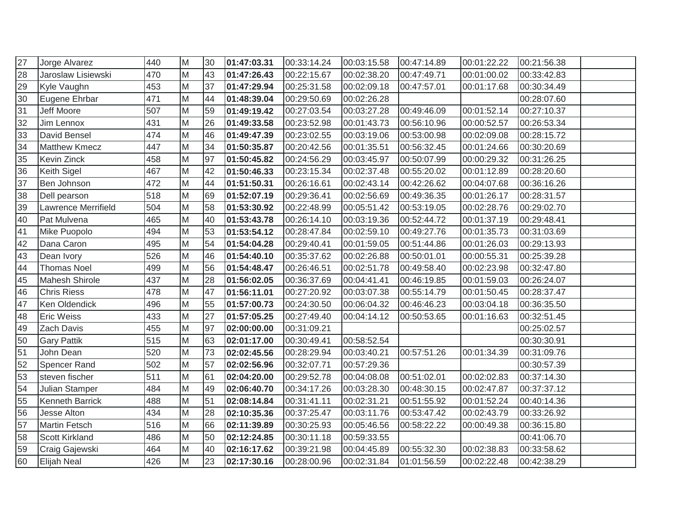| 27 | Jorge Alvarez          | 440 | M              | 30 | 01:47:03.31 | 00:33:14.24 | 00:03:15.58 | 00:47:14.89 | 00:01:22.22 | 00:21:56.38 |  |
|----|------------------------|-----|----------------|----|-------------|-------------|-------------|-------------|-------------|-------------|--|
| 28 | Jaroslaw Lisiewski     | 470 | M              | 43 | 01:47:26.43 | 00:22:15.67 | 00:02:38.20 | 00:47:49.71 | 00:01:00.02 | 00:33:42.83 |  |
| 29 | Kyle Vaughn            | 453 | M              | 37 | 01:47:29.94 | 00:25:31.58 | 00:02:09.18 | 00:47:57.01 | 00:01:17.68 | 00:30:34.49 |  |
| 30 | Eugene Ehrbar          | 471 | M              | 44 | 01:48:39.04 | 00:29:50.69 | 00:02:26.28 |             |             | 00:28:07.60 |  |
| 31 | Jeff Moore             | 507 | M              | 59 | 01:49:19.42 | 00:27:03.54 | 00:03:27.28 | 00:49:46.09 | 00:01:52.14 | 00:27:10.37 |  |
| 32 | Jim Lennox             | 431 | M              | 26 | 01:49:33.58 | 00:23:52.98 | 00:01:43.73 | 00:56:10.96 | 00:00:52.57 | 00:26:53.34 |  |
| 33 | David Bensel           | 474 | M              | 46 | 01:49:47.39 | 00:23:02.55 | 00:03:19.06 | 00:53:00.98 | 00:02:09.08 | 00:28:15.72 |  |
| 34 | <b>Matthew Kmecz</b>   | 447 | M              | 34 | 01:50:35.87 | 00:20:42.56 | 00:01:35.51 | 00:56:32.45 | 00:01:24.66 | 00:30:20.69 |  |
| 35 | Kevin Zinck            | 458 | M              | 97 | 01:50:45.82 | 00:24:56.29 | 00:03:45.97 | 00:50:07.99 | 00:00:29.32 | 00:31:26.25 |  |
| 36 | Keith Sigel            | 467 | M              | 42 | 01:50:46.33 | 00:23:15.34 | 00:02:37.48 | 00:55:20.02 | 00:01:12.89 | 00:28:20.60 |  |
| 37 | Ben Johnson            | 472 | M              | 44 | 01:51:50.31 | 00:26:16.61 | 00:02:43.14 | 00:42:26.62 | 00:04:07.68 | 00:36:16.26 |  |
| 38 | Dell pearson           | 518 | $\overline{M}$ | 69 | 01:52:07.19 | 00:29:36.41 | 00:02:56.69 | 00:49:36.35 | 00:01:26.17 | 00:28:31.57 |  |
| 39 | Lawrence Merrifield    | 504 | M              | 58 | 01:53:30.92 | 00:22:48.99 | 00:05:51.42 | 00:53:19.05 | 00:02:28.76 | 00:29:02.70 |  |
| 40 | Pat Mulvena            | 465 | M              | 40 | 01:53:43.78 | 00:26:14.10 | 00:03:19.36 | 00:52:44.72 | 00:01:37.19 | 00:29:48.41 |  |
| 41 | Mike Puopolo           | 494 | M              | 53 | 01:53:54.12 | 00:28:47.84 | 00:02:59.10 | 00:49:27.76 | 00:01:35.73 | 00:31:03.69 |  |
| 42 | Dana Caron             | 495 | M              | 54 | 01:54:04.28 | 00:29:40.41 | 00:01:59.05 | 00:51:44.86 | 00:01:26.03 | 00:29:13.93 |  |
| 43 | Dean Ivory             | 526 | M              | 46 | 01:54:40.10 | 00:35:37.62 | 00:02:26.88 | 00:50:01.01 | 00:00:55.31 | 00:25:39.28 |  |
| 44 | <b>Thomas Noel</b>     | 499 | M              | 56 | 01:54:48.47 | 00:26:46.51 | 00:02:51.78 | 00:49:58.40 | 00:02:23.98 | 00:32:47.80 |  |
| 45 | Mahesh Shirole         | 437 | M              | 28 | 01:56:02.05 | 00:36:37.69 | 00:04:41.41 | 00:46:19.85 | 00:01:59.03 | 00:26:24.07 |  |
| 46 | <b>Chris Riess</b>     | 478 | M              | 47 | 01:56:11.01 | 00:27:20.92 | 00:03:07.38 | 00:55:14.79 | 00:01:50.45 | 00:28:37.47 |  |
| 47 | Ken Oldendick          | 496 | M              | 55 | 01:57:00.73 | 00:24:30.50 | 00:06:04.32 | 00:46:46.23 | 00:03:04.18 | 00:36:35.50 |  |
| 48 | <b>Eric Weiss</b>      | 433 | M              | 27 | 01:57:05.25 | 00:27:49.40 | 00:04:14.12 | 00:50:53.65 | 00:01:16.63 | 00:32:51.45 |  |
| 49 | Zach Davis             | 455 | $\overline{M}$ | 97 | 02:00:00.00 | 00:31:09.21 |             |             |             | 00:25:02.57 |  |
| 50 | <b>Gary Pattik</b>     | 515 | M              | 63 | 02:01:17.00 | 00:30:49.41 | 00:58:52.54 |             |             | 00:30:30.91 |  |
| 51 | John Dean              | 520 | M              | 73 | 02:02:45.56 | 00:28:29.94 | 00:03:40.21 | 00:57:51.26 | 00:01:34.39 | 00:31:09.76 |  |
| 52 | Spencer Rand           | 502 | M              | 57 | 02:02:56.96 | 00:32:07.71 | 00:57:29.36 |             |             | 00:30:57.39 |  |
| 53 | steven fischer         | 511 | M              | 61 | 02:04:20.00 | 00:29:52.78 | 00:04:08.08 | 00:51:02.01 | 00:02:02.83 | 00:37:14.30 |  |
| 54 | <b>Julian Stamper</b>  | 484 | M              | 49 | 02:06:40.70 | 00:34:17.26 | 00:03:28.30 | 00:48:30.15 | 00:02:47.87 | 00:37:37.12 |  |
| 55 | <b>Kenneth Barrick</b> | 488 | M              | 51 | 02:08:14.84 | 00:31:41.11 | 00:02:31.21 | 00:51:55.92 | 00:01:52.24 | 00:40:14.36 |  |
| 56 | Jesse Alton            | 434 | M              | 28 | 02:10:35.36 | 00:37:25.47 | 00:03:11.76 | 00:53:47.42 | 00:02:43.79 | 00:33:26.92 |  |
| 57 | <b>Martin Fetsch</b>   | 516 | M              | 66 | 02:11:39.89 | 00:30:25.93 | 00:05:46.56 | 00:58:22.22 | 00:00:49.38 | 00:36:15.80 |  |
| 58 | <b>Scott Kirkland</b>  | 486 | M              | 50 | 02:12:24.85 | 00:30:11.18 | 00:59:33.55 |             |             | 00:41:06.70 |  |
| 59 | Craig Gajewski         | 464 | M              | 40 | 02:16:17.62 | 00:39:21.98 | 00:04:45.89 | 00:55:32.30 | 00:02:38.83 | 00:33:58.62 |  |
| 60 | Elijah Neal            | 426 | M              | 23 | 02:17:30.16 | 00:28:00.96 | 00:02:31.84 | 01:01:56.59 | 00:02:22.48 | 00:42:38.29 |  |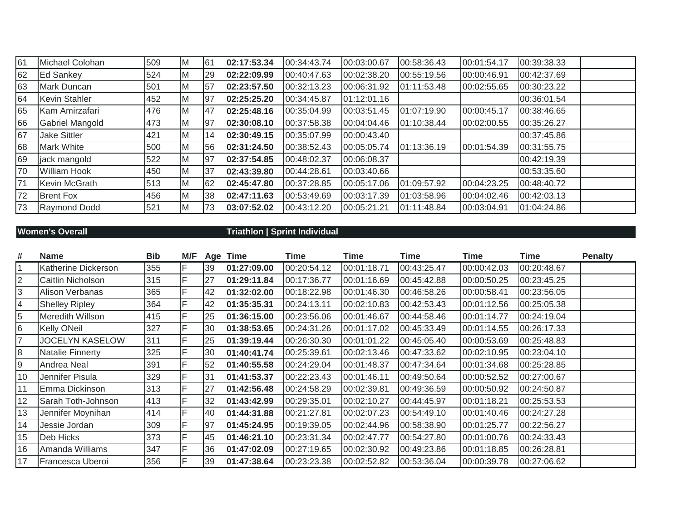| 61 | Michael Colohan     | 509 | M        | 61  | 02:17:53.34 | 00:34:43.74 | 00:03:00.67 | 00:58:36.43 | 00:01:54.17 | 00:39:38.33 |
|----|---------------------|-----|----------|-----|-------------|-------------|-------------|-------------|-------------|-------------|
| 62 | <b>Ed Sankey</b>    | 524 | M        | 29  | 02:22:09.99 | 00:40:47.63 | 00:02:38.20 | 00:55:19.56 | 00:00:46.91 | 00:42:37.69 |
| 63 | Mark Duncan         | 501 | ΙM       | 57  | 02:23:57.50 | 00:32:13.23 | 00:06:31.92 | 01:11:53.48 | 00:02:55.65 | 00:30:23.22 |
| 64 | Kevin Stahler       | 452 | <b>M</b> | 97  | 02:25:25.20 | 00:34:45.87 | 01:12:01.16 |             |             | 00:36:01.54 |
| 65 | Kam Amirzafari      | 476 | Iм       | 47  | 02:25:48.16 | 00:35:04.99 | 00:03:51.45 | 01:07:19.90 | 00:00:45.17 | 00:38:46.65 |
| 66 | Gabriel Mangold     | 473 | Iм       | 97  | 02:30:08.10 | 00:37:58.38 | 00:04:04.46 | 01:10:38.44 | 00:02:00.55 | 00:35:26.27 |
| 67 | <b>Jake Sittler</b> | 421 | <b>M</b> | 14  | 02:30:49.15 | 00:35:07.99 | 00:00:43.40 |             |             | 00:37:45.86 |
| 68 | <b>Mark White</b>   | 500 | <b>M</b> | 56  | 02:31:24.50 | 00:38:52.43 | 00:05:05.74 | 01:13:36.19 | 00:01:54.39 | 00:31:55.75 |
| 69 | jack mangold        | 522 | <b>M</b> | 97  | 02:37:54.85 | 00:48:02.37 | 00:06:08.37 |             |             | 00:42:19.39 |
| 70 | <b>William Hook</b> | 450 | ΙM       | 137 | 02:43:39.80 | 00:44:28.61 | 00:03:40.66 |             |             | 00:53:35.60 |
| 71 | Kevin McGrath       | 513 | Iм       | 62  | 02:45:47.80 | 00:37:28.85 | 00:05:17.06 | 01:09:57.92 | 00:04:23.25 | 00:48:40.72 |
| 72 | <b>Brent Fox</b>    | 456 | Iм       | 38  | 02:47:11.63 | 00:53:49.69 | 00:03:17.39 | 01:03:58.96 | 00:04:02.46 | 00:42:03.13 |
| 73 | Raymond Dodd        | 521 | <b>M</b> | 73  | 03:07:52.02 | 00:43:12.20 | 00:05:21.21 | 01:11:48.84 | 00:03:04.91 | 01:04:24.86 |

## **Women's Overall Triathlon | Sprint Individual**

| #  | <b>Name</b>            | <b>Bib</b> | M/F |    | Age Time    | Time        | Time        | Time        | Time        | <b>Time</b> | <b>Penalty</b> |
|----|------------------------|------------|-----|----|-------------|-------------|-------------|-------------|-------------|-------------|----------------|
|    | Katherine Dickerson    | 355        | F   | 39 | 01:27:09.00 | 00:20:54.12 | 00:01:18.71 | 00:43:25.47 | 00:00:42.03 | 00:20:48.67 |                |
|    | Caitlin Nicholson      | 315        | F   | 27 | 01:29:11.84 | 00:17:36.77 | 00:01:16.69 | 00:45:42.88 | 00:00:50.25 | 00:23:45.25 |                |
| 3  | Alison Verbanas        | 365        | F   | 42 | 01:32:02.00 | 00:18:22.98 | 00:01:46.30 | 00:46:58.26 | 00:00:58.41 | 00:23:56.05 |                |
| 4  | <b>Shelley Ripley</b>  | 364        | F   | 42 | 01:35:35.31 | 00:24:13.11 | 00:02:10.83 | 00:42:53.43 | 00:01:12.56 | 00:25:05.38 |                |
| 5  | Meredith Willson       | 415        | F   | 25 | 01:36:15.00 | 00:23:56.06 | 00:01:46.67 | 00:44:58.46 | 00:01:14.77 | 00:24:19.04 |                |
| 6  | <b>Kelly ONeil</b>     | 327        | F   | 30 | 01:38:53.65 | 00:24:31.26 | 00:01:17.02 | 00:45:33.49 | 00:01:14.55 | 00:26:17.33 |                |
|    | <b>JOCELYN KASELOW</b> | 311        | F   | 25 | 01:39:19.44 | 00:26:30.30 | 00:01:01.22 | 00:45:05.40 | 00:00:53.69 | 00:25:48.83 |                |
| 8  | Natalie Finnerty       | 325        | E   | 30 | 01:40:41.74 | 00:25:39.61 | 00:02:13.46 | 00:47:33.62 | 00:02:10.95 | 00:23:04.10 |                |
| 9  | Andrea Neal            | 391        | F   | 52 | 01:40:55.58 | 00:24:29.04 | 00:01:48.37 | 00:47:34.64 | 00:01:34.68 | 00:25:28.85 |                |
| 10 | Jennifer Pisula        | 329        | F   | 31 | 01:41:53.37 | 00:22:23.43 | 00:01:46.11 | 00:49:50.64 | 00:00:52.52 | 00:27:00.67 |                |
| 11 | Emma Dickinson         | 313        | F   | 27 | 01:42:56.48 | 00:24:58.29 | 00:02:39.81 | 00:49:36.59 | 00:00:50.92 | 00:24:50.87 |                |
| 12 | Sarah Toth-Johnson     | 413        | F   | 32 | 01:43:42.99 | 00:29:35.01 | 00:02:10.27 | 00:44:45.97 | 00:01:18.21 | 00:25:53.53 |                |
| 13 | Jennifer Moynihan      | 414        | F   | 40 | 01:44:31.88 | 00:21:27.81 | 00:02:07.23 | 00:54:49.10 | 00:01:40.46 | 00:24:27.28 |                |
| 14 | Jessie Jordan          | 309        | F   | 97 | 01:45:24.95 | 00:19:39.05 | 00:02:44.96 | 00:58:38.90 | 00:01:25.77 | 00:22:56.27 |                |
| 15 | Deb Hicks              | 373        | F   | 45 | 01:46:21.10 | 00:23:31.34 | 00:02:47.77 | 00:54:27.80 | 00:01:00.76 | 00:24:33.43 |                |
| 16 | Amanda Williams        | 347        | F   | 36 | 01:47:02.09 | 00:27:19.65 | 00:02:30.92 | 00:49:23.86 | 00:01:18.85 | 00:26:28.81 |                |
| 17 | Francesca Uberoi       | 356        | F   | 39 | 01:47:38.64 | 00:23:23.38 | 00:02:52.82 | 00:53:36.04 | 00:00:39.78 | 00:27:06.62 |                |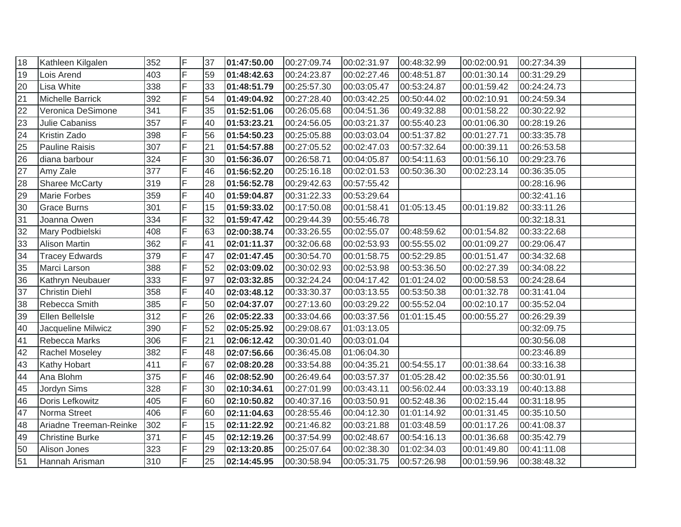| 18 | Kathleen Kilgalen      | 352 | ΙF             | 37 | 01:47:50.00 | 00:27:09.74 | 00:02:31.97 | 00:48:32.99 | 00:02:00.91 | 00:27:34.39 |  |
|----|------------------------|-----|----------------|----|-------------|-------------|-------------|-------------|-------------|-------------|--|
| 19 | Lois Arend             | 403 | F              | 59 | 01:48:42.63 | 00:24:23.87 | 00:02:27.46 | 00:48:51.87 | 00:01:30.14 | 00:31:29.29 |  |
| 20 | Lisa White             | 338 | $\overline{F}$ | 33 | 01:48:51.79 | 00:25:57.30 | 00:03:05.47 | 00:53:24.87 | 00:01:59.42 | 00:24:24.73 |  |
| 21 | Michelle Barrick       | 392 | F              | 54 | 01:49:04.92 | 00:27:28.40 | 00:03:42.25 | 00:50:44.02 | 00:02:10.91 | 00:24:59.34 |  |
| 22 | Veronica DeSimone      | 341 | F              | 35 | 01:52:51.06 | 00:26:05.68 | 00:04:51.36 | 00:49:32.88 | 00:01:58.22 | 00:30:22.92 |  |
| 23 | Julie Cabaniss         | 357 | F              | 40 | 01:53:23.21 | 00:24:56.05 | 00:03:21.37 | 00:55:40.23 | 00:01:06.30 | 00:28:19.26 |  |
| 24 | Kristin Zado           | 398 | F              | 56 | 01:54:50.23 | 00:25:05.88 | 00:03:03.04 | 00:51:37.82 | 00:01:27.71 | 00:33:35.78 |  |
| 25 | <b>Pauline Raisis</b>  | 307 | F              | 21 | 01:54:57.88 | 00:27:05.52 | 00:02:47.03 | 00:57:32.64 | 00:00:39.11 | 00:26:53.58 |  |
| 26 | diana barbour          | 324 | F              | 30 | 01:56:36.07 | 00:26:58.71 | 00:04:05.87 | 00:54:11.63 | 00:01:56.10 | 00:29:23.76 |  |
| 27 | Amy Zale               | 377 | F              | 46 | 01:56:52.20 | 00:25:16.18 | 00:02:01.53 | 00:50:36.30 | 00:02:23.14 | 00:36:35.05 |  |
| 28 | <b>Sharee McCarty</b>  | 319 | F              | 28 | 01:56:52.78 | 00:29:42.63 | 00:57:55.42 |             |             | 00:28:16.96 |  |
| 29 | <b>Marie Forbes</b>    | 359 | F              | 40 | 01:59:04.87 | 00:31:22.33 | 00:53:29.64 |             |             | 00:32:41.16 |  |
| 30 | <b>Grace Burns</b>     | 301 | F              | 15 | 01:59:33.02 | 00:17:50.08 | 00:01:58.41 | 01:05:13.45 | 00:01:19.82 | 00:33:11.26 |  |
| 31 | Joanna Owen            | 334 | F              | 32 | 01:59:47.42 | 00:29:44.39 | 00:55:46.78 |             |             | 00:32:18.31 |  |
| 32 | Mary Podbielski        | 408 | F              | 63 | 02:00:38.74 | 00:33:26.55 | 00:02:55.07 | 00:48:59.62 | 00:01:54.82 | 00:33:22.68 |  |
| 33 | Alison Martin          | 362 | F              | 41 | 02:01:11.37 | 00:32:06.68 | 00:02:53.93 | 00:55:55.02 | 00:01:09.27 | 00:29:06.47 |  |
| 34 | <b>Tracey Edwards</b>  | 379 | F              | 47 | 02:01:47.45 | 00:30:54.70 | 00:01:58.75 | 00:52:29.85 | 00:01:51.47 | 00:34:32.68 |  |
| 35 | Marci Larson           | 388 | F              | 52 | 02:03:09.02 | 00:30:02.93 | 00:02:53.98 | 00:53:36.50 | 00:02:27.39 | 00:34:08.22 |  |
| 36 | Kathryn Neubauer       | 333 | F              | 97 | 02:03:32.85 | 00:32:24.24 | 00:04:17.42 | 01:01:24.02 | 00:00:58.53 | 00:24:28.64 |  |
| 37 | <b>Christin Diehl</b>  | 358 | F              | 40 | 02:03:48.12 | 00:33:30.37 | 00:03:13.55 | 00:53:50.38 | 00:01:32.78 | 00:31:41.04 |  |
| 38 | Rebecca Smith          | 385 | F              | 50 | 02:04:37.07 | 00:27:13.60 | 00:03:29.22 | 00:55:52.04 | 00:02:10.17 | 00:35:52.04 |  |
| 39 | Ellen Bellelsle        | 312 | lF.            | 26 | 02:05:22.33 | 00:33:04.66 | 00:03:37.56 | 01:01:15.45 | 00:00:55.27 | 00:26:29.39 |  |
| 40 | Jacqueline Milwicz     | 390 | $\overline{F}$ | 52 | 02:05:25.92 | 00:29:08.67 | 01:03:13.05 |             |             | 00:32:09.75 |  |
| 41 | Rebecca Marks          | 306 | F              | 21 | 02:06:12.42 | 00:30:01.40 | 00:03:01.04 |             |             | 00:30:56.08 |  |
| 42 | Rachel Moseley         | 382 | F              | 48 | 02:07:56.66 | 00:36:45.08 | 01:06:04.30 |             |             | 00:23:46.89 |  |
| 43 | Kathy Hobart           | 411 | F              | 67 | 02:08:20.28 | 00:33:54.88 | 00:04:35.21 | 00:54:55.17 | 00:01:38.64 | 00:33:16.38 |  |
| 44 | Ana Blohm              | 375 | F              | 46 | 02:08:52.90 | 00:26:49.64 | 00:03:57.37 | 01:05:28.42 | 00:02:35.56 | 00:30:01.91 |  |
| 45 | Jordyn Sims            | 328 | F              | 30 | 02:10:34.61 | 00:27:01.99 | 00:03:43.11 | 00:56:02.44 | 00:03:33.19 | 00:40:13.88 |  |
| 46 | Doris Lefkowitz        | 405 | F              | 60 | 02:10:50.82 | 00:40:37.16 | 00:03:50.91 | 00:52:48.36 | 00:02:15.44 | 00:31:18.95 |  |
| 47 | Norma Street           | 406 | F              | 60 | 02:11:04.63 | 00:28:55.46 | 00:04:12.30 | 01:01:14.92 | 00:01:31.45 | 00:35:10.50 |  |
| 48 | Ariadne Treeman-Reinke | 302 | F              | 15 | 02:11:22.92 | 00:21:46.82 | 00:03:21.88 | 01:03:48.59 | 00:01:17.26 | 00:41:08.37 |  |
| 49 | <b>Christine Burke</b> | 371 | F              | 45 | 02:12:19.26 | 00:37:54.99 | 00:02:48.67 | 00:54:16.13 | 00:01:36.68 | 00:35:42.79 |  |
| 50 | Alison Jones           | 323 | F              | 29 | 02:13:20.85 | 00:25:07.64 | 00:02:38.30 | 01:02:34.03 | 00:01:49.80 | 00:41:11.08 |  |
| 51 | Hannah Arisman         | 310 | F              | 25 | 02:14:45.95 | 00:30:58.94 | 00:05:31.75 | 00:57:26.98 | 00:01:59.96 | 00:38:48.32 |  |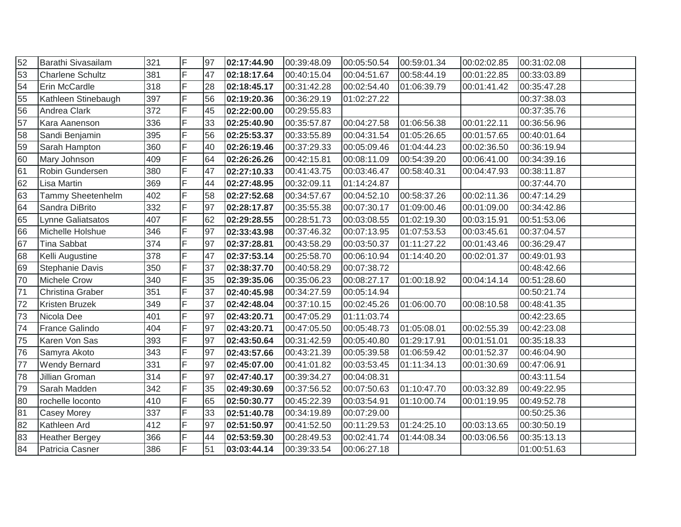| 52 | Barathi Sivasailam      | 321 | F              | 97 | 02:17:44.90 | 00:39:48.09 | 00:05:50.54 | 00:59:01.34 | 00:02:02.85 | 00:31:02.08 |  |
|----|-------------------------|-----|----------------|----|-------------|-------------|-------------|-------------|-------------|-------------|--|
| 53 | <b>Charlene Schultz</b> | 381 | F              | 47 | 02:18:17.64 | 00:40:15.04 | 00:04:51.67 | 00:58:44.19 | 00:01:22.85 | 00:33:03.89 |  |
| 54 | Erin McCardle           | 318 | F              | 28 | 02:18:45.17 | 00:31:42.28 | 00:02:54.40 | 01:06:39.79 | 00:01:41.42 | 00:35:47.28 |  |
| 55 | Kathleen Stinebaugh     | 397 | F              | 56 | 02:19:20.36 | 00:36:29.19 | 01:02:27.22 |             |             | 00:37:38.03 |  |
| 56 | Andrea Clark            | 372 | F              | 45 | 02:22:00.00 | 00:29:55.83 |             |             |             | 00:37:35.76 |  |
| 57 | Kara Aanenson           | 336 | F              | 33 | 02:25:40.90 | 00:35:57.87 | 00:04:27.58 | 01:06:56.38 | 00:01:22.11 | 00:36:56.96 |  |
| 58 | Sandi Benjamin          | 395 | F              | 56 | 02:25:53.37 | 00:33:55.89 | 00:04:31.54 | 01:05:26.65 | 00:01:57.65 | 00:40:01.64 |  |
| 59 | Sarah Hampton           | 360 | F              | 40 | 02:26:19.46 | 00:37:29.33 | 00:05:09.46 | 01:04:44.23 | 00:02:36.50 | 00:36:19.94 |  |
| 60 | Mary Johnson            | 409 | F              | 64 | 02:26:26.26 | 00:42:15.81 | 00:08:11.09 | 00:54:39.20 | 00:06:41.00 | 00:34:39.16 |  |
| 61 | Robin Gundersen         | 380 | F              | 47 | 02:27:10.33 | 00:41:43.75 | 00:03:46.47 | 00:58:40.31 | 00:04:47.93 | 00:38:11.87 |  |
| 62 | Lisa Martin             | 369 | F              | 44 | 02:27:48.95 | 00:32:09.11 | 01:14:24.87 |             |             | 00:37:44.70 |  |
| 63 | Tammy Sheetenhelm       | 402 | F              | 58 | 02:27:52.68 | 00:34:57.67 | 00:04:52.10 | 00:58:37.26 | 00:02:11.36 | 00:47:14.29 |  |
| 64 | Sandra DiBrito          | 332 | F              | 97 | 02:28:17.87 | 00:35:55.38 | 00:07:30.17 | 01:09:00.46 | 00:01:09.00 | 00:34:42.86 |  |
| 65 | Lynne Galiatsatos       | 407 | F              | 62 | 02:29:28.55 | 00:28:51.73 | 00:03:08.55 | 01:02:19.30 | 00:03:15.91 | 00:51:53.06 |  |
| 66 | Michelle Holshue        | 346 | F              | 97 | 02:33:43.98 | 00:37:46.32 | 00:07:13.95 | 01:07:53.53 | 00:03:45.61 | 00:37:04.57 |  |
| 67 | <b>Tina Sabbat</b>      | 374 | F              | 97 | 02:37:28.81 | 00:43:58.29 | 00:03:50.37 | 01:11:27.22 | 00:01:43.46 | 00:36:29.47 |  |
| 68 | Kelli Augustine         | 378 | F              | 47 | 02:37:53.14 | 00:25:58.70 | 00:06:10.94 | 01:14:40.20 | 00:02:01.37 | 00:49:01.93 |  |
| 69 | Stephanie Davis         | 350 | F              | 37 | 02:38:37.70 | 00:40:58.29 | 00:07:38.72 |             |             | 00:48:42.66 |  |
| 70 | <b>Michele Crow</b>     | 340 | F              | 35 | 02:39:35.06 | 00:35:06.23 | 00:08:27.17 | 01:00:18.92 | 00:04:14.14 | 00:51:28.60 |  |
| 71 | Christina Graber        | 351 | F              | 37 | 02:40:45.98 | 00:34:27.59 | 00:05:14.94 |             |             | 00:50:21.74 |  |
| 72 | Kristen Bruzek          | 349 | F              | 37 | 02:42:48.04 | 00:37:10.15 | 00:02:45.26 | 01:06:00.70 | 00:08:10.58 | 00:48:41.35 |  |
| 73 | Nicola Dee              | 401 | F              | 97 | 02:43:20.71 | 00:47:05.29 | 01:11:03.74 |             |             | 00:42:23.65 |  |
| 74 | France Galindo          | 404 | $\overline{F}$ | 97 | 02:43:20.71 | 00:47:05.50 | 00:05:48.73 | 01:05:08.01 | 00:02:55.39 | 00:42:23.08 |  |
| 75 | Karen Von Sas           | 393 | F              | 97 | 02:43:50.64 | 00:31:42.59 | 00:05:40.80 | 01:29:17.91 | 00:01:51.01 | 00:35:18.33 |  |
| 76 | Samyra Akoto            | 343 | F              | 97 | 02:43:57.66 | 00:43:21.39 | 00:05:39.58 | 01:06:59.42 | 00:01:52.37 | 00:46:04.90 |  |
| 77 | <b>Wendy Bernard</b>    | 331 | F              | 97 | 02:45:07.00 | 00:41:01.82 | 00:03:53.45 | 01:11:34.13 | 00:01:30.69 | 00:47:06.91 |  |
| 78 | Jillian Groman          | 314 | $\overline{F}$ | 97 | 02:47:40.17 | 00:39:34.27 | 00:04:08.31 |             |             | 00:43:11.54 |  |
| 79 | Sarah Madden            | 342 | F              | 35 | 02:49:30.69 | 00:37:56.52 | 00:07:50.63 | 01:10:47.70 | 00:03:32.89 | 00:49:22.95 |  |
| 80 | rochelle loconto        | 410 | F              | 65 | 02:50:30.77 | 00:45:22.39 | 00:03:54.91 | 01:10:00.74 | 00:01:19.95 | 00:49:52.78 |  |
| 81 | <b>Casey Morey</b>      | 337 | F              | 33 | 02:51:40.78 | 00:34:19.89 | 00:07:29.00 |             |             | 00:50:25.36 |  |
| 82 | Kathleen Ard            | 412 | F              | 97 | 02:51:50.97 | 00:41:52.50 | 00:11:29.53 | 01:24:25.10 | 00:03:13.65 | 00:30:50.19 |  |
| 83 | <b>Heather Bergey</b>   | 366 | F              | 44 | 02:53:59.30 | 00:28:49.53 | 00:02:41.74 | 01:44:08.34 | 00:03:06.56 | 00:35:13.13 |  |
| 84 | Patricia Casner         | 386 | F              | 51 | 03:03:44.14 | 00:39:33.54 | 00:06:27.18 |             |             | 01:00:51.63 |  |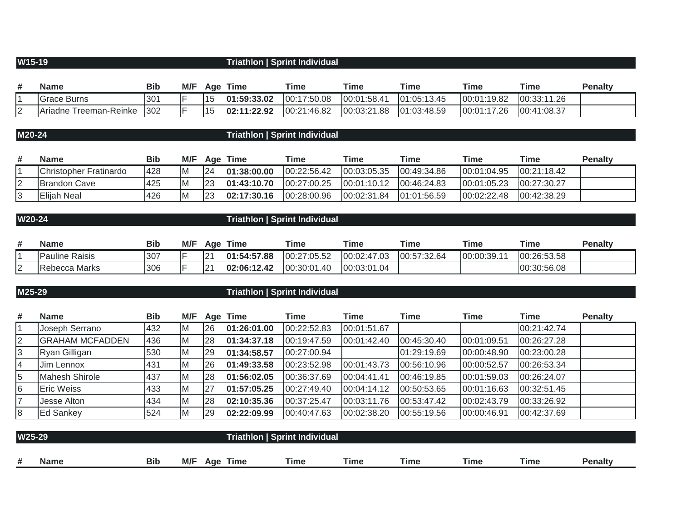## **W15-19 Triathlon | Sprint Individual**

| # | <b>Name</b>            | Bib | M/F | Age   | Time        | Time        | Time        | Time          | <b>Time</b> | Time        | <b>Penalty</b> |
|---|------------------------|-----|-----|-------|-------------|-------------|-------------|---------------|-------------|-------------|----------------|
|   | <b>Grace Burns</b>     | 301 |     | ່ ເ ບ | 01:59:33.02 | 00:17:50.08 | 00:01:58.41 | 101:05:13.45  | 00:01:19.82 | 00:33:11.26 |                |
|   | Ariadne Treeman-Reinke | 302 |     | ⊥ບ    | 02:11:22.92 | 00:21:46.82 | 00:03:21.88 | [01:03:48.59] | 00:01:17.26 | 00:41:08.37 |                |

## **M20-24 Triathlon | Sprint Individual**

| <b>Name</b>            | Bib        | M/F | Aae | Time         | Time         | Time         | Time         | Time        | Time         | <b>Penalty</b> |
|------------------------|------------|-----|-----|--------------|--------------|--------------|--------------|-------------|--------------|----------------|
| Christopher Fratinardo | <b>428</b> | ΙM  | 124 | 01:38:00.00  | 00:22:56.42  | 00:03:05.35  | 00:49:34.86  | 00:01:04.95 | 00:21:18.42  |                |
| <b>IBrandon Cave</b>   | 425        | IM. | l23 | 101:43:10.70 | 100:27:00.25 | 100:01:10.12 | 100:46:24.83 | 00:01:05.23 | 100:27:30.27 |                |
| Elijah Neal            | 426        | ΙM  | 23  | 102:17:30.16 | 00:28:00.96  | 00:02:31.84  | 101:01:56.59 | 00:02:22.48 | 00:42:38.29  |                |

# **W20-24 Triathlon | Sprint Individual**

| ₩ | <b>Name</b>           | <b>Bib</b> | M/F | Age           | Time        | Time        | Time        | <b>Time</b> | <b>Time</b> | Time        | <b>Penalty</b> |
|---|-----------------------|------------|-----|---------------|-------------|-------------|-------------|-------------|-------------|-------------|----------------|
|   | <b>Pauline Raisis</b> | 307        |     | In.<br>$\sim$ | 01:54:57.88 | 00:27:05.52 | 00:02:47.03 | 00:57:32.64 | [00:00:39.1 | 00:26:53.58 |                |
|   | <b>Rebecca Marks</b>  | 306        |     | $\sim$<br>∼   | 02:06:12.42 | 00:30:01.40 | 00:03:01.04 |             |             | 00:30:56.08 |                |

| M25-29 |                        |            | <b>Triathlon   Sprint Individual</b> |    |             |             |             |             |             |             |                |  |
|--------|------------------------|------------|--------------------------------------|----|-------------|-------------|-------------|-------------|-------------|-------------|----------------|--|
| #      | <b>Name</b>            | <b>Bib</b> | M/F                                  |    | Age Time    | Time        | Time        | Time        | <b>Time</b> | Time        | <b>Penalty</b> |  |
|        | Joseph Serrano         | 432        | ΙM                                   | 26 | 01:26:01.00 | 00:22:52.83 | 00:01:51.67 |             |             | 00:21:42.74 |                |  |
| 2      | <b>GRAHAM MCFADDEN</b> | 436        | ΙM                                   | 28 | 01:34:37.18 | 00:19:47.59 | 00:01:42.40 | 00:45:30.40 | 00:01:09.51 | 00:26:27.28 |                |  |
| 3      | Ryan Gilligan          | 530        | İΜ                                   | 29 | 01:34:58.57 | 00:27:00.94 |             | 01:29:19.69 | 00:00:48.90 | 00:23:00.28 |                |  |
| 4      | Jim Lennox             | 431        | İΜ                                   | 26 | 01:49:33.58 | 00:23:52.98 | 00:01:43.73 | 00:56:10.96 | 00:00:52.57 | 00:26:53.34 |                |  |
| 5      | <b>Mahesh Shirole</b>  | 437        | İΜ                                   | 28 | 01:56:02.05 | 00:36:37.69 | 00:04:41.41 | 00:46:19.85 | 00:01:59.03 | 00:26:24.07 |                |  |
| 6      | <b>Eric Weiss</b>      | 433        | İΜ                                   | 27 | 01:57:05.25 | 00:27:49.40 | 00:04:14.12 | 00:50:53.65 | 00:01:16.63 | 00:32:51.45 |                |  |
|        | Jesse Alton            | 434        | İΜ                                   | 28 | 02:10:35.36 | 00:37:25.47 | 00:03:11.76 | 00:53:47.42 | 00:02:43.79 | 00:33:26.92 |                |  |
| 8      | Ed Sankey              | 524        | M                                    | 29 | 02:22:09.99 | 00:40:47.63 | 00:02:38.20 | 00:55:19.56 | 00:00:46.91 | 00:42:37.69 |                |  |
|        |                        |            |                                      |    |             |             |             |             |             |             |                |  |

| W25-29                                       |  |  |  |  | <b>Sprint Individual</b><br><b>Friathlon</b> |     |      |             |             |             |         |  |  |
|----------------------------------------------|--|--|--|--|----------------------------------------------|-----|------|-------------|-------------|-------------|---------|--|--|
|                                              |  |  |  |  |                                              |     |      |             |             |             |         |  |  |
| <b>Bib</b><br>#<br>M/F<br><b>Name</b><br>Aae |  |  |  |  | Time                                         | īme | Time | <b>Time</b> | <b>Time</b> | <b>Time</b> | Penalty |  |  |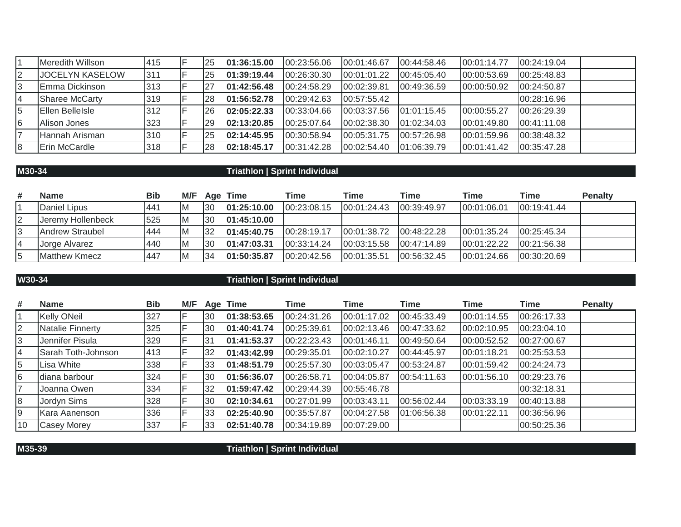|   | Meredith Willson       | 415 | 125       | 101:36:15.00 | 00:23:56.06 | 00:01:46.67  | 00:44:58.46  | 00:01:14.77 | 00:24:19.04 |  |
|---|------------------------|-----|-----------|--------------|-------------|--------------|--------------|-------------|-------------|--|
|   | <b>JOCELYN KASELOW</b> | 311 | 125       | 01:39:19.44  | 00:26:30.30 | 00:01:01.22  | 00:45:05.40  | 00:00:53.69 | 00:25:48.83 |  |
|   | Emma Dickinson         | 313 |           | 01:42:56.48  | 00:24:58.29 | 00:02:39.81  | 00:49:36.59  | 00:00:50.92 | 00:24:50.87 |  |
|   | <b>Sharee McCarty</b>  | 319 | l28       | 01:56:52.78  | 00:29:42.63 | 00:57:55.42  |              |             | 00:28:16.96 |  |
| 5 | Ellen BelleIsle        | 312 | l26       | 02:05:22.33  | 00:33:04.66 | 00:03:37.56  | 101:01:15.45 | 00:00:55.27 | 00:26:29.39 |  |
| 6 | Alison Jones           | 323 | <b>29</b> | 02:13:20.85  | 00:25:07.64 | 00:02:38.30  | 01:02:34.03  | 00:01:49.80 | 00:41:11.08 |  |
|   | Hannah Arisman         | 310 | 125       | 02:14:45.95  | 00:30:58.94 | 00:05:31.75  | 00:57:26.98  | 00:01:59.96 | 00:38:48.32 |  |
| 8 | Erin McCardle          | 318 | 28        | 02:18:45.17  | 00:31:42.28 | 100:02:54.40 | 101:06:39.79 | 00:01:41.42 | 00:35:47.28 |  |

## **M30-34 Triathlon | Sprint Individual**

| #  | <b>Name</b>            | <b>Bib</b> | M/F |     | Age Time     | <b>Time</b>   | <b>Time</b>   | Time          | Time         | <b>Time</b>  | <b>Penalty</b> |
|----|------------------------|------------|-----|-----|--------------|---------------|---------------|---------------|--------------|--------------|----------------|
|    | Daniel Lipus           | 441        | ΙM  | '30 | 101:25:10.00 | 00:23:08.15   | 100:01:24.43  | 00:39:49.97   | 00:01:06.01  | 00:19:41.44  |                |
| 12 | Jeremy Hollenbeck      | 525        | ΙM  | 30  | 01:45:10.00  |               |               |               |              |              |                |
| l3 | <b>Andrew Straubel</b> | 444        | ΙM  | 32  | 01:45:40.75  | 00:28:19.17   | [00:01:38.72] | 00:48:22.28   | 100:01:35.24 | 00:25:45.34  |                |
| 14 | Jorge Alvarez          | 440        | ΙM  | 30  | 01:47:03.31  | [00:33:14.24] | [00:03:15.58] | [00:47:14.89] | 100:01:22.22 | 100:21:56.38 |                |
| 5  | Matthew Kmecz          | 1447       | ΙM  | 34  | 01:50:35.87  | 00:20:42.56   | 00:01:35.51   | 00:56:32.45   | 00:01:24.66  | 00:30:20.69  |                |

|  | W30-34 |  |
|--|--------|--|
|  |        |  |
|  |        |  |

## **W30-34 Triathlon | Sprint Individual**

| #  | <b>Name</b>        | <b>Bib</b> | M/F |    | Age Time    | Time        | <b>Time</b> | Time        | <b>Time</b> | Time        | <b>Penalty</b> |
|----|--------------------|------------|-----|----|-------------|-------------|-------------|-------------|-------------|-------------|----------------|
|    | <b>Kelly ONeil</b> | 327        |     | 30 | 01:38:53.65 | 00:24:31.26 | 00:01:17.02 | 00:45:33.49 | 00:01:14.55 | 00:26:17.33 |                |
|    | Natalie Finnerty   | 325        |     | 30 | 01:40:41.74 | 00:25:39.61 | 00:02:13.46 | 00:47:33.62 | 00:02:10.95 | 00:23:04.10 |                |
|    | Jennifer Pisula    | 329        |     | 31 | 01:41:53.37 | 00:22:23.43 | 00:01:46.11 | 00:49:50.64 | 00:00:52.52 | 00:27:00.67 |                |
| 4  | Sarah Toth-Johnson | 413        |     | 32 | 01:43:42.99 | 00:29:35.01 | 00:02:10.27 | 00:44:45.97 | 00:01:18.21 | 00:25:53.53 |                |
|    | Lisa White         | 338        |     | 33 | 01:48:51.79 | 00:25:57.30 | 00:03:05.47 | 00:53:24.87 | 00:01:59.42 | 00:24:24.73 |                |
| 6  | diana barbour      | 324        |     | 30 | 01:56:36.07 | 00:26:58.71 | 00:04:05.87 | 00:54:11.63 | 00:01:56.10 | 00:29:23.76 |                |
|    | Joanna Owen        | 334        |     | 32 | 01:59:47.42 | 00:29:44.39 | 00:55:46.78 |             |             | 00:32:18.31 |                |
|    | Jordyn Sims        | 328        |     | 30 | 02:10:34.61 | 00:27:01.99 | 00:03:43.11 | 00:56:02.44 | 00:03:33.19 | 00:40:13.88 |                |
|    | Kara Aanenson      | 336        |     | 33 | 02:25:40.90 | 00:35:57.87 | 00:04:27.58 | 01:06:56.38 | 00:01:22.11 | 00:36:56.96 |                |
| 10 | <b>Casey Morey</b> | 337        |     | 33 | 02:51:40.78 | 00:34:19.89 | 00:07:29.00 |             |             | 00:50:25.36 |                |

**M35-39 Triathlon | Sprint Individual**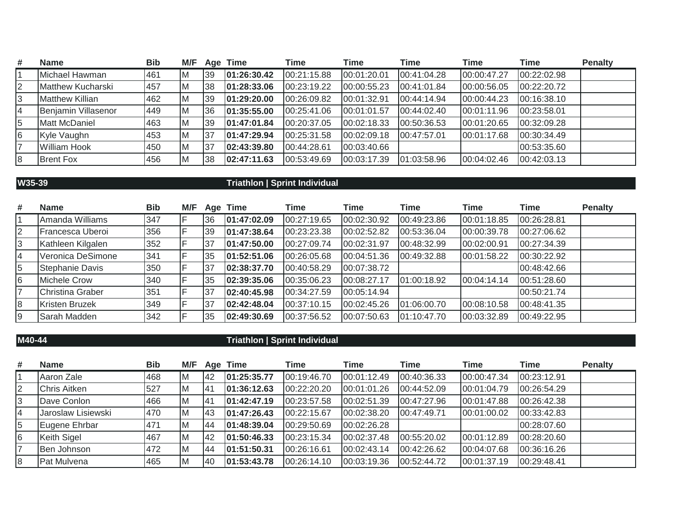| #  | <b>Name</b>              | <b>Bib</b> | M/F |    | Age Time    | Time        | <b>Time</b> | <b>Time</b> | <b>Time</b>   | <b>Time</b> | <b>Penalty</b> |
|----|--------------------------|------------|-----|----|-------------|-------------|-------------|-------------|---------------|-------------|----------------|
|    | Michael Hawman           | 461        | ΙM  | 39 | 01:26:30.42 | 00:21:15.88 | 00:01:20.01 | 00:41:04.28 | 00:00:47.27   | 00:22:02.98 |                |
| 12 | <b>Matthew Kucharski</b> | 457        | ΙM  | 38 | 01:28:33.06 | 00:23:19.22 | 00:00:55.23 | 00:41:01.84 | 00:00:56.05   | 00:22:20.72 |                |
| 3  | <b>Matthew Killian</b>   | 462        | ΙM  | 39 | 01:29:20.00 | 00:26:09.82 | 00:01:32.91 | 00:44:14.94 | 00:00:44.23   | 00:16:38.10 |                |
| 14 | Benjamin Villasenor      | 1449       | ΙM  | 36 | 01:35:55.00 | 00:25:41.06 | 00:01:01.57 | 00:44:02.40 | 00:01:11.96   | 00:23:58.01 |                |
| 5  | <b>Matt McDaniel</b>     | 463        | ΙM  | 39 | 01:47:01.84 | 00:20:37.05 | 00:02:18.33 | 00:50:36.53 | 00:01:20.65   | 00:32:09.28 |                |
| 6  | Kyle Vaughn              | 453        | ΙM  | 37 | 01:47:29.94 | 00:25:31.58 | 00:02:09.18 | 00:47:57.01 | 00:01:17.68   | 00:30:34.49 |                |
| 17 | <b>William Hook</b>      | 1450       | ΙM  | 37 | 02:43:39.80 | 00:44:28.61 | 00:03:40.66 |             |               | 00:53:35.60 |                |
| 8  | <b>Brent Fox</b>         | 456        | ΙM  | 38 | 02:47:11.63 | 00:53:49.69 | 00:03:17.39 | 01:03:58.96 | [00:04:02.46] | 00:42:03.13 |                |

## **W35-39 Triathlon | Sprint Individual**

| # | <b>Name</b>       | <b>Bib</b> | M/F |    | Age Time    | Time        | <b>Time</b> | Time        | <b>Time</b> | Time        | <b>Penalty</b> |
|---|-------------------|------------|-----|----|-------------|-------------|-------------|-------------|-------------|-------------|----------------|
|   | Amanda Williams   | 347        |     | 36 | 01:47:02.09 | 00:27:19.65 | 00:02:30.92 | 00:49:23.86 | 00:01:18.85 | 00:26:28.81 |                |
|   | Francesca Uberoi  | 356        |     | 39 | 01:47:38.64 | 00:23:23.38 | 00:02:52.82 | 00:53:36.04 | 00:00:39.78 | 00:27:06.62 |                |
|   | Kathleen Kilgalen | 352        |     | 37 | 01:47:50.00 | 00:27:09.74 | 00:02:31.97 | 00:48:32.99 | 00:02:00.91 | 00:27:34.39 |                |
|   | Veronica DeSimone | 341        |     | 35 | 01:52:51.06 | 00:26:05.68 | 00:04:51.36 | 00:49:32.88 | 00:01:58.22 | 00:30:22.92 |                |
|   | Stephanie Davis   | 1350       |     | 37 | 02:38:37.70 | 00:40:58.29 | 00:07:38.72 |             |             | 00:48:42.66 |                |
| 6 | Michele Crow      | 340        |     | 35 | 02:39:35.06 | 00:35:06.23 | 00:08:27.17 | 01:00:18.92 | 00:04:14.14 | 00:51:28.60 |                |
|   | Christina Graber  | 351        |     | 37 | 02:40:45.98 | 00:34:27.59 | 00:05:14.94 |             |             | 00:50:21.74 |                |
|   | Kristen Bruzek    | 349        |     | 37 | 02:42:48.04 | 00:37:10.15 | 00:02:45.26 | 01:06:00.70 | 00:08:10.58 | 00:48:41.35 |                |
|   | Sarah Madden      | 342        |     | 35 | 02:49:30.69 | 00:37:56.52 | 00:07:50.63 | 01:10:47.70 | 00:03:32.89 | 00:49:22.95 |                |

## **M40-44 Triathlon | Sprint Individual**

| # | <b>Name</b>         | <b>Bib</b> | M/F |            | Age Time    | Time        | <b>Time</b> | Time        | Time        | <b>Time</b> | <b>Penalty</b> |
|---|---------------------|------------|-----|------------|-------------|-------------|-------------|-------------|-------------|-------------|----------------|
|   | Aaron Zale          | 468        | ΙM  | <b>42</b>  | 01:25:35.77 | 00:19:46.70 | 00:01:12.49 | 00:40:36.33 | 00:00:47.34 | 00:23:12.91 |                |
|   | <b>Chris Aitken</b> | 527        | ΙM  | <b>141</b> | 01:36:12.63 | 00:22:20.20 | 00:01:01.26 | 00:44:52.09 | 00:01:04.79 | 00:26:54.29 |                |
|   | Dave Conlon         | 466        | ΙM  | 141        | 01:42:47.19 | 00:23:57.58 | 00:02:51.39 | 00:47:27.96 | 00:01:47.88 | 00:26:42.38 |                |
|   | Jaroslaw Lisiewski  | 470        | ΙM  | 143        | 01:47:26.43 | 00:22:15.67 | 00:02:38.20 | 00:47:49.71 | 00:01:00.02 | 00:33:42.83 |                |
|   | Eugene Ehrbar       | 471        | ΙM  | 44         | 01:48:39.04 | 00:29:50.69 | 00:02:26.28 |             |             | 00:28:07.60 |                |
|   | Keith Sigel         | 467        | İΜ  | 42         | 01:50:46.33 | 00:23:15.34 | 00:02:37.48 | 00:55:20.02 | 00:01:12.89 | 00:28:20.60 |                |
|   | Ben Johnson         | 472        | ΙM  | <b>44</b>  | 01:51:50.31 | 00:26:16.61 | 00:02:43.14 | 00:42:26.62 | 00:04:07.68 | 00:36:16.26 |                |
|   | Pat Mulvena         | 465        | ΙM  | 140        | 01:53:43.78 | 00:26:14.10 | 00:03:19.36 | 00:52:44.72 | 00:01:37.19 | 00:29:48.41 |                |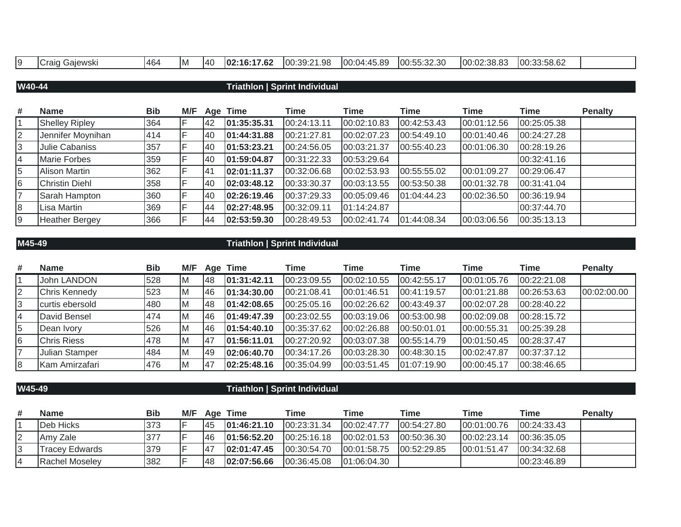| $\sim$ | Craid<br>Galewski<br>. . | - 1464 | -IM | 1AC<br>᠇ | $\overline{a}$<br>102:16:17.62 | .98<br>$100:39:2^7$ | 100:04:45.89 | $\cdots$ $\cdots$ $\vdots$ $\vdots$ $\cdots$<br>.uu.uz<br>- . U<br>1 U U . | .ഹ.ഹെ ഹ<br>IOO:<br>ಎಂ.ಂ.<br>w | 00:33:58.62 |  |
|--------|--------------------------|--------|-----|----------|--------------------------------|---------------------|--------------|----------------------------------------------------------------------------|-------------------------------|-------------|--|

## **W40-44 Triathlon | Sprint Individual**

| #              | <b>Name</b>           | <b>Bib</b> | M/F |           | Age Time    | Time        | Time        | Time        | <b>Time</b> | Time        | <b>Penalty</b> |
|----------------|-----------------------|------------|-----|-----------|-------------|-------------|-------------|-------------|-------------|-------------|----------------|
|                | <b>Shelley Ripley</b> | 364        |     | 142       | 01:35:35.31 | 00:24:13.11 | 00:02:10.83 | 00:42:53.43 | 00:01:12.56 | 00:25:05.38 |                |
| $\overline{2}$ | Jennifer Moynihan     | 414        |     | 140       | 01:44:31.88 | 00:21:27.81 | 00:02:07.23 | 00:54:49.10 | 00:01:40.46 | 00:24:27.28 |                |
| 3              | Julie Cabaniss        | 357        |     | 140       | 01:53:23.21 | 00:24:56.05 | 00:03:21.37 | 00:55:40.23 | 00:01:06.30 | 00:28:19.26 |                |
| $\overline{4}$ | <b>Marie Forbes</b>   | 359        |     | 40        | 01:59:04.87 | 00:31:22.33 | 00:53:29.64 |             |             | 00:32:41.16 |                |
| 5              | <b>Alison Martin</b>  | 362        |     | <b>41</b> | 02:01:11.37 | 00:32:06.68 | 00:02:53.93 | 00:55:55.02 | 00:01:09.27 | 00:29:06.47 |                |
| 6              | <b>Christin Diehl</b> | 358        |     | 40        | 02:03:48.12 | 00:33:30.37 | 00:03:13.55 | 00:53:50.38 | 00:01:32.78 | 00:31:41.04 |                |
| $\overline{7}$ | Sarah Hampton         | 360        |     | 140       | 02:26:19.46 | 00:37:29.33 | 00:05:09.46 | 01:04:44.23 | 00:02:36.50 | 00:36:19.94 |                |
| 8              | Lisa Martin           | 369        |     | 44        | 02:27:48.95 | 00:32:09.11 | 01:14:24.87 |             |             | 00:37:44.70 |                |
| Ι9             | <b>Heather Bergey</b> | 366        |     | 144       | 02:53:59.30 | 00:28:49.53 | 00:02:41.74 | 01:44:08.34 | 00:03:06.56 | 00:35:13.13 |                |

# **M45-49 Triathlon | Sprint Individual**

| # | <b>Name</b>        | <b>Bib</b> | M/F |            | Age Time    | Time        | Time        | Time        | Time        | <b>Time</b> | <b>Penalty</b> |
|---|--------------------|------------|-----|------------|-------------|-------------|-------------|-------------|-------------|-------------|----------------|
|   | John LANDON        | 528        | ΙM  | 148        | 01:31:42.11 | 00:23:09.55 | 00:02:10.55 | 00:42:55.17 | 00:01:05.76 | 00:22:21.08 |                |
|   | Chris Kennedy      | 523        | ΙM  | 46         | 01:34:30.00 | 00:21:08.41 | 00:01:46.51 | 00:41:19.57 | 00:01:21.88 | 00:26:53.63 | 00:02:00.00    |
|   | curtis ebersold    | 480        | ΙM  | 48         | 01:42:08.65 | 00:25:05.16 | 00:02:26.62 | 00:43:49.37 | 00:02:07.28 | 00:28:40.22 |                |
|   | David Bensel       | 474        | Iм  | 46         | 01:49:47.39 | 00:23:02.55 | 00:03:19.06 | 00:53:00.98 | 00:02:09.08 | 00:28:15.72 |                |
| 5 | Dean Ivory         | 526        | M   | 46         | 01:54:40.10 | 00:35:37.62 | 00:02:26.88 | 00:50:01.01 | 00:00:55.31 | 00:25:39.28 |                |
| 6 | <b>Chris Riess</b> | 478        | ΙM  | <b>147</b> | 01:56:11.01 | 00:27:20.92 | 00:03:07.38 | 00:55:14.79 | 00:01:50.45 | 00:28:37.47 |                |
|   | Julian Stamper     | 484        | IM. | 49         | 02:06:40.70 | 00:34:17.26 | 00:03:28.30 | 00:48:30.15 | 00:02:47.87 | 00:37:37.12 |                |
| 8 | Kam Amirzafari     | 476        | ΙM  | 47         | 02:25:48.16 | 00:35:04.99 | 00:03:51.45 | 01:07:19.90 | 00:00:45.17 | 00:38:46.65 |                |

| W4 | ٠ |
|----|---|
|    |   |

## **W45-49 Triathlon | Sprint Individual**

| #  | <b>Name</b>            | Bib  | M/F | Aae | <b>Time</b>  | Time          | Time         | Time         | Time        | Time         | <b>Penalty</b> |
|----|------------------------|------|-----|-----|--------------|---------------|--------------|--------------|-------------|--------------|----------------|
|    | Deb Hicks              | 373  |     | 145 | 101:46:21.10 | [00:23:31.34] | 00:02:47.77  | 100:54:27.80 | 00:01:00.76 | 00:24:33.43  |                |
| 12 | IAmv Zale              | 1377 |     | 146 | 101:56:52.20 | 00:25:16.18   | 00:02:01.53  | 00:50:36.30  | 00:02:23.14 | 100:36:35.05 |                |
| 13 | Tracev Edwards         | 379  |     |     | 102:01:47.45 | 00:30:54.70   | 00:01:58.75  | 00:52:29.85  | 00:01:51.47 | 00:34:32.68  |                |
|    | <b>IRachel Moselev</b> | 382  |     | 148 | 102:07:56.66 | 00:36:45.08   | 101:06:04.30 |              |             | 100:23:46.89 |                |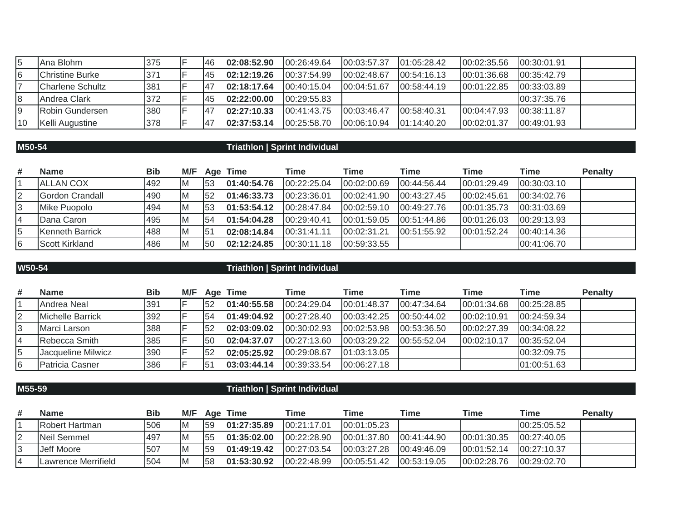|    | Ana Blohm                | 375 | 146 | 02:08:52.90  | 00:26:49.64  | 00:03:57.37 | 101:05:28.42 | 100:02:35.56 | 100:30:01.91  |
|----|--------------------------|-----|-----|--------------|--------------|-------------|--------------|--------------|---------------|
|    | Christine Burke          | 371 | '45 | 102:12:19.26 | 00:37:54.99  | 00:02:48.67 | 100:54:16.13 | 00:01:36.68  | 00:35:42.79   |
|    | <b>ICharlene Schultz</b> | 381 | 147 | 02:18:17.64  | 00:40:15.04  | 00:04:51.67 | 00:58:44.19  | 00:01:22.85  | 00:33:03.89   |
|    | Andrea Clark             | 372 | 45  | 02:22:00.00  | 100:29:55.83 |             |              |              | 00:37:35.76   |
|    | Robin Gundersen          | 380 | 147 | 02:27:10.33  | 100:41:43.75 | 00:03:46.47 | 00:58:40.31  | 00:04:47.93  | 00:38:11.87   |
| 10 | Kelli Augustine          | 378 | 147 | 02:37:53.14  | 00:25:58.70  | 00:06:10.94 | 101:14:40.20 | 00:02:01.37  | [00:49:01.93] |

## **M50-54 Triathlon | Sprint Individual**

| # | <b>Name</b>           | <b>Bib</b> | M/F |     | Age Time     | Time          | <b>Time</b> | Time        | <b>Time</b> | <b>Time</b> | <b>Penalty</b> |
|---|-----------------------|------------|-----|-----|--------------|---------------|-------------|-------------|-------------|-------------|----------------|
|   | <b>ALLAN COX</b>      | 492        | ΙM  | 153 | 01:40:54.76  | 00:22:25.04   | 00:02:00.69 | 00:44:56.44 | 00:01:29.49 | 00:30:03.10 |                |
| 2 | Gordon Crandall       | 490        | ΙM  | 152 | 01:46:33.73  | 00:23:36.01   | 00:02:41.90 | 00:43:27.45 | 00:02:45.61 | 00:34:02.76 |                |
| 3 | Mike Puopolo          | 494        | Iм  | 153 | 01:53:54.12  | 00:28:47.84   | 00:02:59.10 | 00:49:27.76 | 00:01:35.73 | 00:31:03.69 |                |
|   | Dana Caron            | 495        | ΙM  | 154 | 101:54:04.28 | 00:29:40.41   | 00:01:59.05 | 00:51:44.86 | 00:01:26.03 | 00:29:13.93 |                |
| 5 | Kenneth Barrick       | 488        | ΙM  | 151 | 02:08:14.84  | 00:31:41.11   | 00:02:31.21 | 00:51:55.92 | 00:01:52.24 | 00:40:14.36 |                |
| 6 | <b>Scott Kirkland</b> | 486        | ΙM  | 150 | 02:12:24.85  | [00:30:11.18] | 00:59:33.55 |             |             | 00:41:06.70 |                |

## **W50-54 Triathlon | Sprint Individual**

| # | <b>Name</b>        | <b>Bib</b> | M/F |     | Age Time     | Time          | Time          | Time         | Time         | <b>Time</b> | <b>Penalty</b> |
|---|--------------------|------------|-----|-----|--------------|---------------|---------------|--------------|--------------|-------------|----------------|
|   | Andrea Neal        | 391        |     | 52  | 01:40:55.58  | 00:24:29.04   | 00:01:48.37   | 00.47:34.64  | 00:01:34.68  | 00:25:28.85 |                |
|   | Michelle Barrick   | 392        |     | 154 | 01:49:04.92  | 00:27:28.40   | 00:03:42.25   | 00:50:44.02  | 00:02:10.91  | 00:24:59.34 |                |
|   | Marci Larson       | 388        |     | 152 | 02:03:09.02  | 00:30:02.93   | 00:02:53.98   | 00:53:36.50  | 00:02:27.39  | 00:34:08.22 |                |
|   | IRebecca Smith     | 385        |     | 50  | 02:04:37.07  | [00:27:13.60] | 100:03:29.22  | 100:55:52.04 | 100:02:10.17 | 00:35:52.04 |                |
|   | Jacqueline Milwicz | 390        |     | 52  | 02:05:25.92  | 00:29:08.67   | [01:03:13.05] |              |              | 00:32:09.75 |                |
| 6 | Patricia Casner    | 386        |     | l51 | 103:03:44.14 | 00:39:33.54   | [00:06:27.18] |              |              | 01:00:51.63 |                |

| M55- | . N |
|------|-----|
|      |     |

## **M55-59 Triathlon | Sprint Individual**

| # | <b>Name</b>            | Bib        | M/F |     | Age Time     | Time        | <b>Time</b>   | Time         | Time         | Time         | <b>Penalty</b> |
|---|------------------------|------------|-----|-----|--------------|-------------|---------------|--------------|--------------|--------------|----------------|
|   | <b>IRobert Hartman</b> | 506        |     | l59 | 01:27:35.89  | 00:21:17.01 | [00:01:05.23] |              |              | 00:25:05.52  |                |
|   | Neil Semmel            | <b>497</b> |     | 155 | 101:35:02.00 | 00:22:28.90 | 00:01:37.80   | 100:41:44.90 | 00:01:30.35  | 00:27:40.05  |                |
|   | Jeff Moore             | 507        |     | 159 | 101:49:19.42 | 00:27:03.54 | 100:03:27.28  | 100:49:46.09 | 100:01:52.14 | 100:27:10.37 |                |
|   | Lawrence Merrifield    | 504        |     | 158 | 101:53:30.92 | 00:22:48.99 | 100:05:51.42  | 100:53:19.05 | 00:02:28.76  | 00:29:02.70  |                |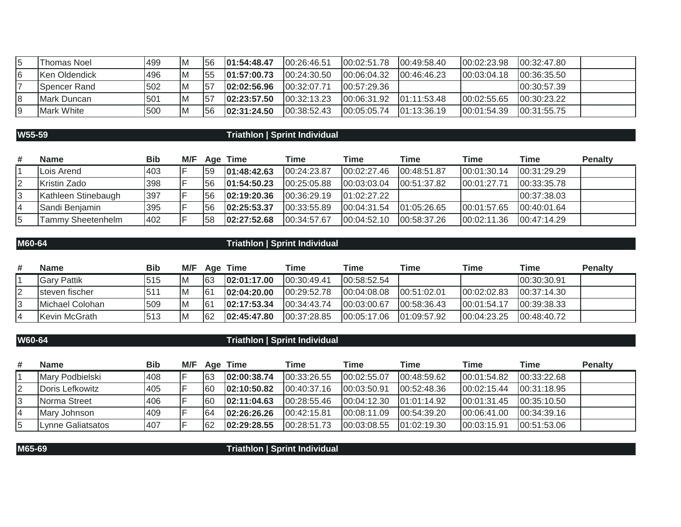| Thomas Noel          | 499 | ΙM | 56  | 101:54:48.47 | 00:26:46.51   | 100:02:51.78 | 100:49:58.40 | 00:02:23.98  | 00:32:47.80  |  |
|----------------------|-----|----|-----|--------------|---------------|--------------|--------------|--------------|--------------|--|
| <b>Ken Oldendick</b> | 496 | IМ | 155 | 101:57:00.73 | 00:24:30.50   | 100:06:04.32 | 00:46:46.23  | 100:03:04.18 | 100:36:35.50 |  |
| ISpencer Rand        | 502 | IМ | 157 | 102:02:56.96 | 100:32:07.71  | 100:57:29.36 |              |              | 100:30:57.39 |  |
| <b>IMark Duncan</b>  | 501 | ΙM | 157 | 102:23:57.50 | [00:32:13.23] | 100:06:31.92 | 101:11:53.48 | 00:02:55.65  | 00:30:23.22  |  |
| Mark White           | 500 | ΙM | 156 | 102:31:24.50 | 100:38:52.43  | 100:05:05.74 | 101:13:36.19 | 00:01:54.39  | 00:31:55.75  |  |

# **W55-59 Triathlon | Sprint Individual**

| # | <b>Name</b>         | Bib | M/F |     | Age Time    | Time         | Time        | Time        | <b>Time</b> | Time        | <b>Penalty</b> |
|---|---------------------|-----|-----|-----|-------------|--------------|-------------|-------------|-------------|-------------|----------------|
|   | Lois Arend          | 403 |     | 159 | 01:48:42.63 | 00:24:23.87  | 00:02:27.46 | 00:48:51.87 | 00:01:30.14 | 00:31:29.29 |                |
|   | Kristin Zado        | 398 |     | 156 | 01:54:50.23 | 00:25:05.88  | 00:03:03.04 | 00:51:37.82 | 00:01:27.71 | 00:33:35.78 |                |
| 3 | Kathleen Stinebaugh | 397 |     | 156 | 02:19:20.36 | 100:36:29.19 | 01:02:27.22 |             |             | 00:37:38.03 |                |
|   | Sandi Benjamin      | 395 |     | 156 | 02:25:53.37 | 00:33:55.89  | 00:04:31.54 | 01:05:26.65 | 00:01:57.65 | 00:40:01.64 |                |
| 5 | Tammy Sheetenhelm   | 402 |     | 158 | 02:27:52.68 | 00:34:57.67  | 00:04:52.10 | 00:58:37.26 | 00:02:11.36 | 00:47:14.29 |                |

# **M60-64 Triathlon | Sprint Individual**

| # | <b>Name</b>        | Bib             | M/F       | Age             | <b>Time</b>  | Time         | Time        | Time        | Time          | <b>Time</b>  | <b>Penalty</b> |
|---|--------------------|-----------------|-----------|-----------------|--------------|--------------|-------------|-------------|---------------|--------------|----------------|
|   | <b>Gary Pattik</b> | 515             | <b>IM</b> | 63              | 02:01:17.00  | 00:30:49.41  | 00:58:52.54 |             |               | 00:30:30.91  |                |
|   | Isteven fischer    | 51 <sup>′</sup> | IM.       | 161             | 02:04:20.00  | 00:29:52.78  | 00:04:08.08 | 00:51:02.01 | [00:02:02.83] | 100:37:14.30 |                |
|   | Michael Colohan    | 509             | <b>IM</b> | 16 <sup>1</sup> | 102:17:53.34 | 100:34:43.74 | 00:03:00.67 | 00:58:36.43 | 00:01:54.17   | 00:39:38.33  |                |
|   | Kevin McGrath      | 513             | IМ        | 62              | 02:45:47.80  | 00:37:28.85  | 00:05:17.06 | 01:09:57.92 | 00:04:23.25   | 00:48:40.72  |                |

# **W60-64 Triathlon | Sprint Individual**

| # | <b>Name</b>       | <b>Bib</b> | M/F |     | Age Time     | Time          | <b>Time</b>   | Time          | Time         | <b>Time</b>   | <b>Penalty</b> |
|---|-------------------|------------|-----|-----|--------------|---------------|---------------|---------------|--------------|---------------|----------------|
|   | Mary Podbielski   | 408        |     | 63  | 02:00:38.74  | 00:33:26.55   | 00:02:55.07   | 00:48:59.62   | 00:01:54.82  | 00:33:22.68   |                |
|   | Doris Lefkowitz   | 405        |     | 60  | 02:10:50.82  | [00:40:37.16] | 00:03:50.91   | 00:52:48.36   | 00:02:15.44  | 00:31:18.95   |                |
|   | Norma Street      | 406        |     | 160 | 102:11:04.63 | 00:28:55.46   | [00:04:12.30] | 01:01:14.92   | 100:01:31.45 | 100:35:10.50  |                |
|   | Mary Johnson      | 409        |     | 164 | 02:26:26.26  | 00:42:15.81   | 100:08:11.09  | 100:54:39.20  | 00:06:41.00  | 100:34:39.16  |                |
|   | Lynne Galiatsatos | 407        |     | 62  | 02:29:28.55  | 00:28:51.73   | 00:03:08.55   | [01:02:19.30] | 00:03:15.91  | [00:51:53.06] |                |

**M65-69 Triathlon | Sprint Individual**